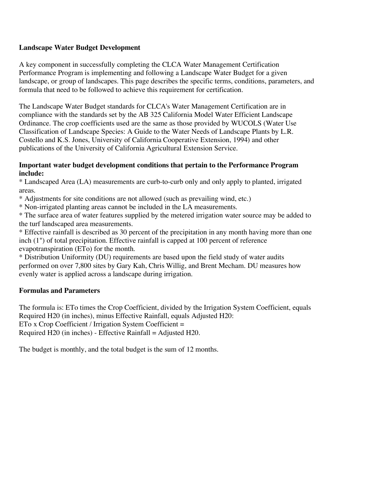# **Landscape Water Budget Development**

A key component in successfully completing the CLCA Water Management Certification Performance Program is implementing and following a Landscape Water Budget for a given landscape, or group of landscapes. This page describes the specific terms, conditions, parameters, and formula that need to be followed to achieve this requirement for certification.

The Landscape Water Budget standards for CLCA's Water Management Certification are in compliance with the standards set by the AB 325 California Model Water Efficient Landscape Ordinance. The crop coefficients used are the same as those provided by WUCOLS (Water Use Classification of Landscape Species: A Guide to the Water Needs of Landscape Plants by L.R. Costello and K.S. Jones, University of California Cooperative Extension, 1994) and other publications of the University of California Agricultural Extension Service.

### **Important water budget development conditions that pertain to the Performance Program include:**

\* Landscaped Area (LA) measurements are curb-to-curb only and only apply to planted, irrigated areas.

\* Adjustments for site conditions are not allowed (such as prevailing wind, etc.)

\* Non-irrigated planting areas cannot be included in the LA measurements.

\* The surface area of water features supplied by the metered irrigation water source may be added to the turf landscaped area measurements.

\* Effective rainfall is described as 30 percent of the precipitation in any month having more than one inch (1") of total precipitation. Effective rainfall is capped at 100 percent of reference evapotranspiration (ETo) for the month.

\* Distribution Uniformity (DU) requirements are based upon the field study of water audits performed on over 7,800 sites by Gary Kah, Chris Willig, and Brent Mecham. DU measures how evenly water is applied across a landscape during irrigation.

# **Formulas and Parameters**

The formula is: ETo times the Crop Coefficient, divided by the Irrigation System Coefficient, equals Required H20 (in inches), minus Effective Rainfall, equals Adjusted H20: ETo x Crop Coefficient / Irrigation System Coefficient = Required H20 (in inches) - Effective Rainfall = Adjusted H20.

The budget is monthly, and the total budget is the sum of 12 months.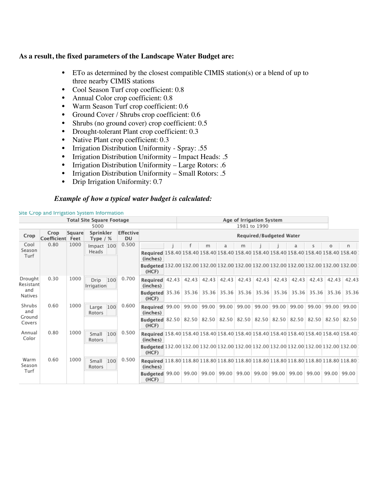#### **As a result, the fixed parameters of the Landscape Water Budget are:**

- ETo as determined by the closest compatible CIMIS station(s) or a blend of up to three nearby CIMIS stations
- Cool Season Turf crop coefficient: 0.8
- Annual Color crop coefficient: 0.8
- Warm Season Turf crop coefficient: 0.6
- Ground Cover / Shrubs crop coefficient: 0.6
- Shrubs (no ground cover) crop coefficient: 0.5
- Drought-tolerant Plant crop coefficient: 0.3
- Native Plant crop coefficient: 0.3
- Irrigation Distribution Uniformity Spray: .55
- Irrigation Distribution Uniformity Impact Heads: .5
- Irrigation Distribution Uniformity Large Rotors: .6
- Irrigation Distribution Uniformity Small Rotors: .5
- Drip Irrigation Uniformity: 0.7

#### *Example of how a typical water budget is calculated:*

| <b>Total Site Square Footage</b> |                          |        |                           |                        |                                                                                                          |  | Age of Irrigation System<br>1981 to 1990 |   |   |   |                               |       |                   |              |             |       |
|----------------------------------|--------------------------|--------|---------------------------|------------------------|----------------------------------------------------------------------------------------------------------|--|------------------------------------------|---|---|---|-------------------------------|-------|-------------------|--------------|-------------|-------|
| 5000                             |                          |        |                           |                        |                                                                                                          |  |                                          |   |   |   |                               |       |                   |              |             |       |
| Crop                             | Crop<br>Coefficient Feet | Square | Sprinkler<br>Type $/$ %   | <b>Effective</b><br>DU | Required/Budgeted Water                                                                                  |  |                                          |   |   |   |                               |       |                   |              |             |       |
| Cool<br>Season<br>Turf           | 0.80                     | 1000   | Impact 100<br>Heads       | 0.500                  |                                                                                                          |  |                                          | m | a | m |                               |       |                   | $\mathsf{s}$ | $\circ$     | n     |
|                                  |                          |        |                           |                        | Required 158.40 158.40 158.40 158.40 158.40 158.40 158.40 158.40 158.40 158.40 158.40 158.40<br>(inches) |  |                                          |   |   |   |                               |       |                   |              |             |       |
|                                  |                          |        |                           |                        | Budgeted 132.00 132.00 132.00 132.00 132.00 132.00 132.00 132.00 132.00 132.00 132.00<br>(HCF)           |  |                                          |   |   |   |                               |       |                   |              |             |       |
| Drought<br>Resistant             | 0.30                     | 1000   | 100<br>Drip<br>Irrigation | 0.700                  | Required 42.43<br>(inches)                                                                               |  |                                          |   |   |   | 42.43 42.43 42.43 42.43 42.43 |       | 42.43 42.43 42.43 |              | 42.43       | 42.43 |
| and<br>Natives                   |                          |        |                           |                        | Budgeted 35.36 35.36 35.36 35.36 35.36 35.36 35.36 35.36 35.36 35.36 35.36 35.36<br>(HCF)                |  |                                          |   |   |   |                               |       |                   |              |             |       |
| Shrubs<br>and                    | 0.60                     | 1000   | 100<br>Large<br>Rotors    | 0.600                  | Required 99.00 99.00 99.00 99.00 99.00 99.00<br>(inches)                                                 |  |                                          |   |   |   |                               | 99.00 | 99.00             | 99.00        | 99.00       | 99.00 |
| Ground<br>Covers                 |                          |        |                           |                        | Budgeted 82.50 82.50 82.50 82.50 82.50 82.50 82.50 82.50 82.50 82.50 82.50 82.50<br>(HCF)                |  |                                          |   |   |   |                               |       |                   |              |             |       |
| Annual<br>Color                  | 0.80                     | 1000   | Small<br>100<br>Rotors    | 0.500                  | Required 158.40 158.40 158.40 158.40 158.40 158.40 158.40 158.40 158.40 158.40 158.40 158.40<br>(inches) |  |                                          |   |   |   |                               |       |                   |              |             |       |
|                                  |                          |        |                           |                        | Budgeted 132.00 132.00 132.00 132.00 132.00 132.00 132.00 132.00 132.00 132.00 132.00<br>(HCF)           |  |                                          |   |   |   |                               |       |                   |              |             |       |
| Warm<br>Season                   | 0.60                     | 1000   | 100<br>Small<br>Rotors    | 0.500                  | Required 118.80 118.80 118.80 118.80 118.80 118.80 118.80 118.80 118.80 118.80 118.80<br>(inches)        |  |                                          |   |   |   |                               |       |                   |              |             |       |
| Turf                             |                          |        |                           |                        | Budgeted 99.00 99.00 99.00 99.00 99.00 99.00<br>(HCF)                                                    |  |                                          |   |   |   |                               | 99.00 | 99.00             |              | 99.00 99.00 | 99.00 |

#### Site Crop and Irrigation System Information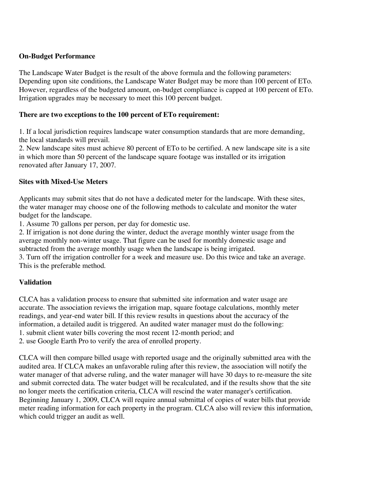#### **On-Budget Performance**

The Landscape Water Budget is the result of the above formula and the following parameters: Depending upon site conditions, the Landscape Water Budget may be more than 100 percent of ETo. However, regardless of the budgeted amount, on-budget compliance is capped at 100 percent of ETo. Irrigation upgrades may be necessary to meet this 100 percent budget.

#### **There are two exceptions to the 100 percent of ETo requirement:**

1. If a local jurisdiction requires landscape water consumption standards that are more demanding, the local standards will prevail.

2. New landscape sites must achieve 80 percent of ETo to be certified. A new landscape site is a site in which more than 50 percent of the landscape square footage was installed or its irrigation renovated after January 17, 2007.

#### **Sites with Mixed-Use Meters**

Applicants may submit sites that do not have a dedicated meter for the landscape. With these sites, the water manager may choose one of the following methods to calculate and monitor the water budget for the landscape.

1. Assume 70 gallons per person, per day for domestic use.

2. If irrigation is not done during the winter, deduct the average monthly winter usage from the average monthly non-winter usage. That figure can be used for monthly domestic usage and subtracted from the average monthly usage when the landscape is being irrigated.

3. Turn off the irrigation controller for a week and measure use. Do this twice and take an average. This is the preferable method.

# **Validation**

CLCA has a validation process to ensure that submitted site information and water usage are accurate. The association reviews the irrigation map, square footage calculations, monthly meter readings, and year-end water bill. If this review results in questions about the accuracy of the information, a detailed audit is triggered. An audited water manager must do the following: 1. submit client water bills covering the most recent 12-month period; and 2. use Google Earth Pro to verify the area of enrolled property.

CLCA will then compare billed usage with reported usage and the originally submitted area with the audited area. If CLCA makes an unfavorable ruling after this review, the association will notify the water manager of that adverse ruling, and the water manager will have 30 days to re-measure the site and submit corrected data. The water budget will be recalculated, and if the results show that the site no longer meets the certification criteria, CLCA will rescind the water manager's certification. Beginning January 1, 2009, CLCA will require annual submittal of copies of water bills that provide meter reading information for each property in the program. CLCA also will review this information, which could trigger an audit as well.